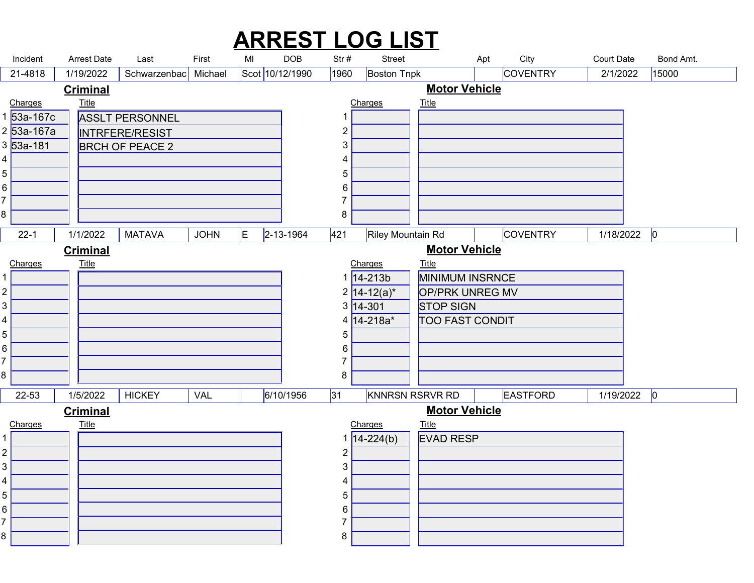|                |                                       |                                 |                                           |                  |                       |                 |                     | <b>ARREST LOG LIST</b>               |                                        |                                |                               |                    |  |
|----------------|---------------------------------------|---------------------------------|-------------------------------------------|------------------|-----------------------|-----------------|---------------------|--------------------------------------|----------------------------------------|--------------------------------|-------------------------------|--------------------|--|
|                | Incident<br>21-4818                   | <b>Arrest Date</b><br>1/19/2022 | Last<br>Schwarzenbac                      | First<br>Michael | MI<br>Scot 10/12/1990 | <b>DOB</b>      | Str#<br>1960        | <b>Street</b><br><b>Boston Tnpk</b>  |                                        | City<br>Apt<br><b>COVENTRY</b> | <b>Court Date</b><br>2/1/2022 | Bond Amt.<br>15000 |  |
|                |                                       | <b>Criminal</b>                 |                                           |                  |                       |                 |                     |                                      | <b>Motor Vehicle</b>                   |                                |                               |                    |  |
|                | Charges                               | <b>Title</b>                    |                                           |                  |                       |                 |                     | Charges                              | <b>Title</b>                           |                                |                               |                    |  |
|                | 1 <mark>53а-167с</mark><br>2 53a-167a |                                 | <b>ASSLT PERSONNEL</b>                    |                  |                       |                 | 1<br>$\overline{c}$ |                                      |                                        |                                |                               |                    |  |
|                | 3 53a-181                             |                                 | INTRFERE/RESIST<br><b>BRCH OF PEACE 2</b> |                  |                       |                 | 3                   |                                      |                                        |                                |                               |                    |  |
|                |                                       |                                 |                                           |                  |                       |                 | 4                   |                                      |                                        |                                |                               |                    |  |
| 5              |                                       |                                 |                                           |                  |                       |                 | 5                   |                                      |                                        |                                |                               |                    |  |
| 6<br>⇁         |                                       |                                 |                                           |                  |                       |                 | 6<br>7              |                                      |                                        |                                |                               |                    |  |
| 8              |                                       |                                 |                                           |                  |                       |                 | 8                   |                                      |                                        |                                |                               |                    |  |
|                | $22 - 1$                              |                                 | $1/1/2022$ MATAVA JOHN E                  |                  | IE.                   | $2 - 13 - 1964$ |                     | 421 Riley Mountain Rd                |                                        | <b>COVENTRY</b>                | $1/18/2022$ 0                 |                    |  |
|                |                                       | <b>Criminal</b>                 |                                           |                  |                       |                 |                     |                                      | <b>Motor Vehicle</b>                   |                                |                               |                    |  |
|                | Charges                               | <b>Title</b>                    |                                           |                  |                       |                 |                     | Charges<br>$1 \overline{)14 - 213b}$ | <b>Title</b><br><b>MINIMUM INSRNCE</b> |                                |                               |                    |  |
| 2              |                                       |                                 |                                           |                  |                       |                 |                     | $2 14-12(a)^{*} $                    | OP/PRK UNREG MV                        |                                |                               |                    |  |
| 3              |                                       |                                 |                                           |                  |                       |                 |                     | $3 14-301 $                          | STOP SIGN                              |                                |                               |                    |  |
| 4<br>5         |                                       |                                 |                                           |                  |                       |                 | 5                   | $4 14 - 218a^* $                     | <b>TOO FAST CONDIT</b>                 |                                |                               |                    |  |
| 6              |                                       |                                 |                                           |                  |                       |                 | 6                   |                                      |                                        |                                |                               |                    |  |
|                |                                       |                                 |                                           |                  |                       |                 | $\overline{7}$      |                                      |                                        |                                |                               |                    |  |
| 8.             |                                       |                                 |                                           |                  |                       |                 | 8                   |                                      |                                        |                                |                               |                    |  |
|                | $22 - 53$                             | 1/5/2022                        | <b>HICKEY</b>                             | VAL              |                       | 6/10/1956       | 31                  |                                      | KNNRSN RSRVR RD                        | EASTFORD                       | $1/19/2022$ 0                 |                    |  |
|                | Charges                               | <b>Criminal</b><br><b>Title</b> |                                           |                  |                       |                 |                     | Charges                              | <b>Motor Vehicle</b>                   |                                |                               |                    |  |
|                |                                       |                                 |                                           |                  |                       |                 |                     | 1 $14 - 224(b)$                      | Title<br>EVAD RESP                     |                                |                               |                    |  |
| $\overline{a}$ |                                       |                                 |                                           |                  |                       |                 | 2                   |                                      |                                        |                                |                               |                    |  |
| 3<br>4         |                                       |                                 |                                           |                  |                       |                 | 3<br>4              |                                      |                                        |                                |                               |                    |  |
|                |                                       |                                 |                                           |                  |                       |                 | 5                   |                                      |                                        |                                |                               |                    |  |
| 5              |                                       |                                 |                                           |                  |                       |                 | 6                   |                                      |                                        |                                |                               |                    |  |
| 6              |                                       |                                 |                                           |                  |                       |                 |                     |                                      |                                        |                                |                               |                    |  |
| 8              |                                       |                                 |                                           |                  |                       |                 | 8                   |                                      |                                        |                                |                               |                    |  |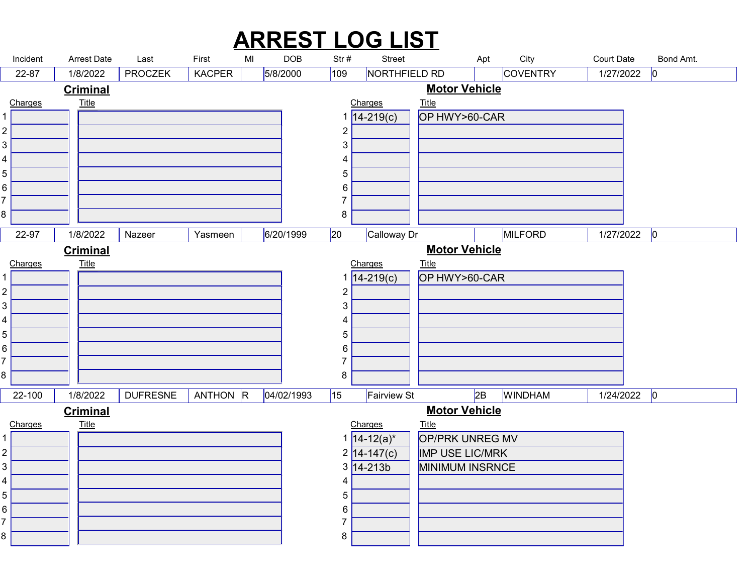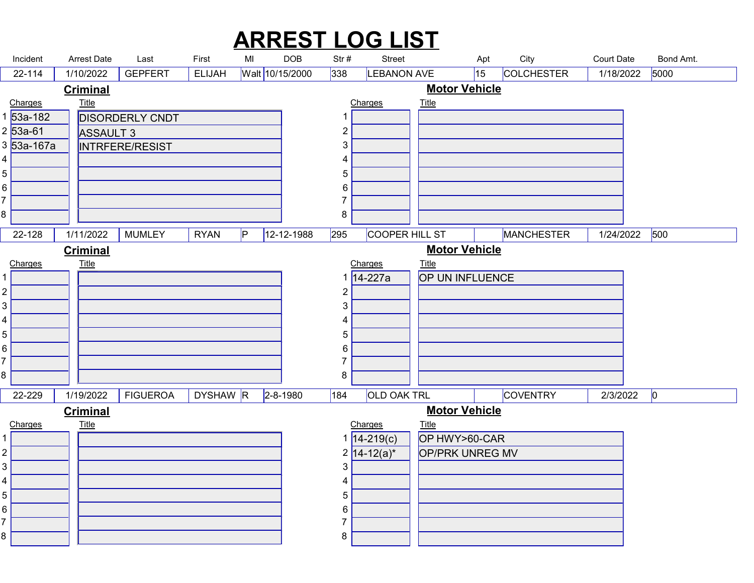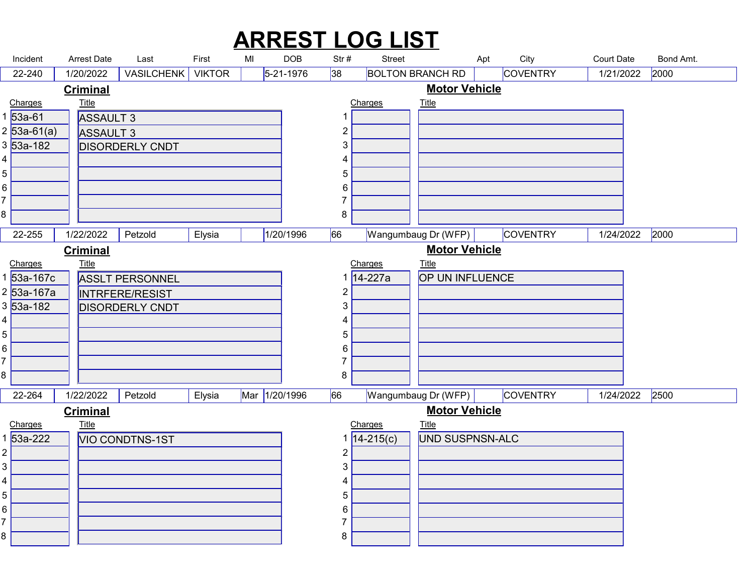#### Incident Arrest Date Last First MI DOB Str # Street Apt City Court Date Bond Amt.<br>22-240 1/20/2022 VASILCHENK VIKTOR 5-21-1976 38 BOLTON BRANCH RD COVENTRY 1/21/2022 2000<br><u>Criminal Motor Vehicle</u><br>533-61 ASSAIJIT3 1 1 ARREST LOG LIST Arrest Date Last First MI 22-240 | 1/20/2022 | VASILCHENK | VIKTOR | |5-21-1976 |38 |BOLTON BRANCH RD | |COVENTRY | 1/21/2022 |2000 ASSAULT 3 53a-61 53a-61(a) ASSAULT 3 3 ASSAULT 3 ASSAULT 3 ASSAULT 3 ASSAULT 3 DISORDERLY CNDT 53a-182 Charges Title  $2|53a-61(a)|$  $\begin{array}{ccc} 4 & 1 \\ 1 & 1 \end{array}$  **Title** that the contract of the contract of the contract of the contract of the contract of the contract of the contract of the contract of the contract of the contract of the contract of the contract of the contract of t 1/20/2022 | VASILCHENK | VIKTOR | 5-21-1976 Charges Title and  $1$  and  $1$  and  $1$  and  $1$  and  $1$  **Title The Community of the Community of the Community of the Community of the Community of the Community of the Community of the Community of the Community of the Community of the Community of the Community of the Commu Criminal** Motor Vehicle 22-255 1/22/2022 Petzold Elysia 1/20/1996 66 Wangumbaug Dr (WFP) COVENTRY 1/24/2022 2000 ASSLT PERSONNEL 53a-167c INTRFERE/RESIST 53a-167a DISORDERLY CNDT 53a-182 Charges Title 8 a.C. (1980) and the set of the set of the set of the set of the set of the set of the set of the set of the<br>Set of the set of the set of the set of the set of the set of the set of the set of the set of the set of the **Title** that the contract of the contract of the contract of the contract of the contract of the contract of the contract of the contract of the contract of the contract of the contract of the contract of the contract of t 1/22/2022 OP UN INFLUENCE 14-227a Charges Title 8 a.C. (1985). A contract of the second state of the second state of the second state of the second state of t<br>1980 and 1980 and 1980 and 1980 and 1980 and 1980 and 1980 and 1980 and 1980 and 1980 and 1980 and 1980 and 19 **Title The Community of the Community of the Community of the Community of the Community of the Community of the Community of the Community of the Community of the Community of the Community of the Community of the Commu Criminal** Motor Vehicle 22-264 | 1/22/2022 | Petzold | Elysia | Mar 1/20/1996 | 66 | Wangumbaug Dr (WFP) | COVENTRY | 1/24/2022 | 2500 VIO CONDTNS-1ST 53a-222 Charges Title **Title The Community of the Community of the Community of the Community of the Community of the Community of the Community of the Community of the Community of the Community of the Community of the Community of the Commu** 1/22/2022 UND SUSPNSN-ALC 14-215(c) Charges Title **Title The Community of the Community of the Community of the Community of the Community of the Community of the Community of the Community of the Community of the Community of the Community of the Community of the Commu Criminal** Motor Vehicle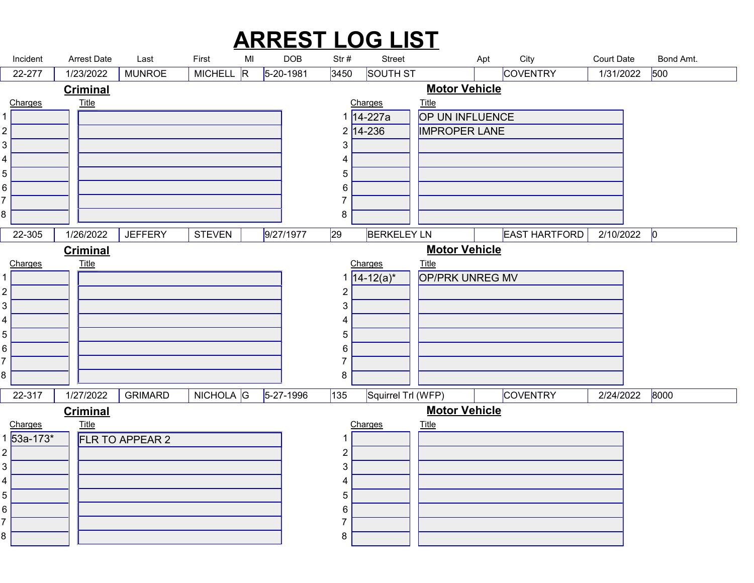